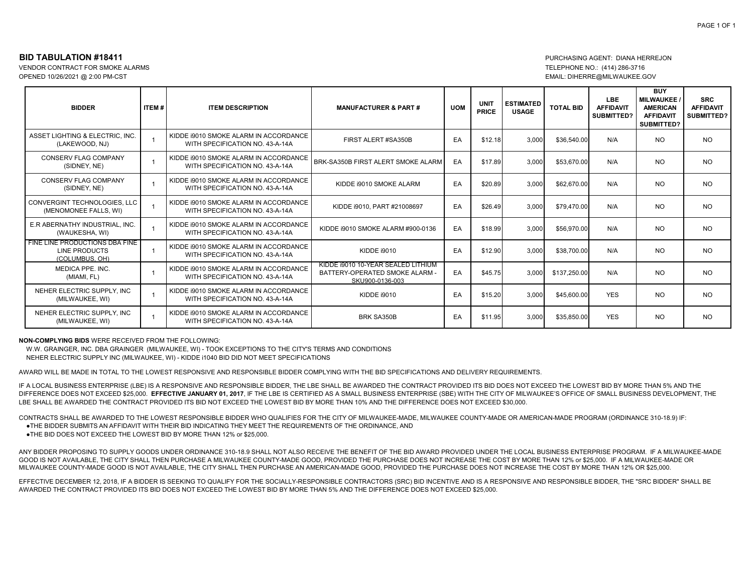VENDOR CONTRACT FOR SMOKE ALARMS<br>OPENED 10/26/2021 @ 2:00 PM-CST

## **BID TABULATION #18411** PURCHASING AGENT: DIANA HERREJON<br>
VENDOR CONTRACT FOR SMOKE ALARMS EMAIL: DIHERRE@MILWAUKEE.GOV

| <b>BIDDER</b>                                                     | <b>ITEM#</b> | <b>ITEM DESCRIPTION</b>                                                  | <b>MANUFACTURER &amp; PART#</b>                                                         | <b>UOM</b> | <b>UNIT</b><br><b>PRICE</b> | <b>ESTIMATED</b><br><b>USAGE</b> | <b>TOTAL BID</b> | <b>LBE</b><br><b>AFFIDAVIT</b><br>SUBMITTED? | <b>BUY</b><br><b>MILWAUKEE</b><br><b>AMERICAN</b><br><b>AFFIDAVIT</b><br>SUBMITTED? | <b>SRC</b><br><b>AFFIDAVIT</b><br>SUBMITTED? |
|-------------------------------------------------------------------|--------------|--------------------------------------------------------------------------|-----------------------------------------------------------------------------------------|------------|-----------------------------|----------------------------------|------------------|----------------------------------------------|-------------------------------------------------------------------------------------|----------------------------------------------|
| ASSET LIGHTING & ELECTRIC. INC.<br>(LAKEWOOD, NJ)                 |              | KIDDE 19010 SMOKE ALARM IN ACCORDANCE<br>WITH SPECIFICATION NO. 43-A-14A | FIRST ALERT #SA350B                                                                     | EA         | \$12.18                     | 3,000                            | \$36,540.00      | N/A                                          | <b>NO</b>                                                                           | <b>NO</b>                                    |
| <b>CONSERV FLAG COMPANY</b><br>(SIDNEY, NE)                       |              | KIDDE 19010 SMOKE ALARM IN ACCORDANCE<br>WITH SPECIFICATION NO. 43-A-14A | BRK-SA350B FIRST ALERT SMOKE ALARM                                                      | EA         | \$17.89                     | 3.000                            | \$53.670.00      | N/A                                          | <b>NO</b>                                                                           | <b>NO</b>                                    |
| <b>CONSERV FLAG COMPANY</b><br>(SIDNEY, NE)                       |              | KIDDE 19010 SMOKE ALARM IN ACCORDANCE<br>WITH SPECIFICATION NO. 43-A-14A | KIDDE 19010 SMOKE ALARM                                                                 | EA         | \$20.89                     | 3,000                            | \$62,670.00      | N/A                                          | <b>NO</b>                                                                           | <b>NO</b>                                    |
| CONVERGINT TECHNOLOGIES, LLC<br>(MENOMONEE FALLS, WI)             |              | KIDDE 19010 SMOKE ALARM IN ACCORDANCE<br>WITH SPECIFICATION NO. 43-A-14A | KIDDE i9010, PART #21008697                                                             | EA         | \$26.49                     | 3,000                            | \$79,470.00      | N/A                                          | <b>NO</b>                                                                           | <b>NO</b>                                    |
| E.R ABERNATHY INDUSTRIAL. INC.<br>(WAUKESHA, WI)                  |              | KIDDE 19010 SMOKE ALARM IN ACCORDANCE<br>WITH SPECIFICATION NO. 43-A-14A | KIDDE 19010 SMOKE ALARM #900-0136                                                       | EA         | \$18.99                     | 3.000                            | \$56,970.00      | N/A                                          | <b>NO</b>                                                                           | <b>NO</b>                                    |
| FINE LINE PRODUCTIONS DBA FINE<br>LINE PRODUCTS<br>(COLUMBUS, OH) |              | KIDDE 19010 SMOKE ALARM IN ACCORDANCE<br>WITH SPECIFICATION NO. 43-A-14A | <b>KIDDE i9010</b>                                                                      | EA         | \$12.90                     | 3.000                            | \$38,700.00      | N/A                                          | <b>NO</b>                                                                           | <b>NO</b>                                    |
| MEDICA PPE, INC.<br>(MIAMI, FL)                                   |              | KIDDE 19010 SMOKE ALARM IN ACCORDANCE<br>WITH SPECIFICATION NO. 43-A-14A | KIDDE 19010 10-YEAR SEALED LITHIUM<br>BATTERY-OPERATED SMOKE ALARM -<br>SKU900-0136-003 | EA         | \$45.75                     | 3.000                            | \$137,250.00     | N/A                                          | <b>NO</b>                                                                           | <b>NO</b>                                    |
| NEHER ELECTRIC SUPPLY. INC<br>(MILWAUKEE, WI)                     |              | KIDDE 19010 SMOKE ALARM IN ACCORDANCE<br>WITH SPECIFICATION NO. 43-A-14A | KIDDE i9010                                                                             | EA         | \$15.20                     | 3.000                            | \$45,600.00      | <b>YES</b>                                   | <b>NO</b>                                                                           | <b>NO</b>                                    |
| NEHER ELECTRIC SUPPLY, INC<br>(MILWAUKEE, WI)                     |              | KIDDE 19010 SMOKE ALARM IN ACCORDANCE<br>WITH SPECIFICATION NO. 43-A-14A | <b>BRK SA350B</b>                                                                       | EA         | \$11.95                     | 3,000                            | \$35,850.00      | <b>YES</b>                                   | <b>NO</b>                                                                           | <b>NO</b>                                    |

**NON-COMPLYING BIDS** WERE RECEIVED FROM THE FOLLOWING:

W.W. GRAINGER, INC. DBA GRAINGER (MILWAUKEE, WI) - TOOK EXCEPTIONS TO THE CITY'S TERMS AND CONDITIONS NEHER ELECTRIC SUPPLY INC (MILWAUKEE, WI) - KIDDE i1040 BID DID NOT MEET SPECIFICATIONS

AWARD WILL BE MADE IN TOTAL TO THE LOWEST RESPONSIVE AND RESPONSIBLE BIDDER COMPLYING WITH THE BID SPECIFICATIONS AND DELIVERY REQUIREMENTS.

IF A LOCAL BUSINESS ENTERPRISE (LBE) IS A RESPONSIVE AND RESPONSIBLE BIDDER, THE LBE SHALL BE AWARDED THE CONTRACT PROVIDED ITS BID DOES NOT EXCEED THE LOWEST BID BY MORE THAN 5% AND THE DIFFERENCE DOES NOT EXCEED \$25,000. **EFFECTIVE JANUARY 01, 2017**, IF THE LBE IS CERTIFIED AS A SMALL BUSINESS ENTERPRISE (SBE) WITH THE CITY OF MILWAUKEE'S OFFICE OF SMALL BUSINESS DEVELOPMENT, THE LBE SHALL BE AWARDED THE CONTRACT PROVIDED ITS BID NOT EXCEED THE LOWEST BID BY MORE THAN 10% AND THE DIFFERENCE DOES NOT EXCEED \$30,000.

CONTRACTS SHALL BE AWARDED TO THE LOWEST RESPONSIBLE BIDDER WHO QUALIFIES FOR THE CITY OF MILWAUKEE-MADE, MILWAUKEE COUNTY-MADE OR AMERICAN-MADE PROGRAM (ORDINANCE 310-18.9) IF:

●THE BIDDER SUBMITS AN AFFIDAVIT WITH THEIR BID INDICATING THEY MEET THE REQUIREMENTS OF THE ORDINANCE, AND

●THE BID DOES NOT EXCEED THE LOWEST BID BY MORE THAN 12% or \$25,000.

ANY BIDDER PROPOSING TO SUPPLY GOODS UNDER ORDINANCE 310-18.9 SHALL NOT ALSO RECEIVE THE BENEFIT OF THE BID AWARD PROVIDED UNDER THE LOCAL BUSINESS ENTERPRISE PROGRAM. IF A MILWAUKEE-MADE GOOD IS NOT AVAILABLE, THE CITY SHALL THEN PURCHASE A MILWAUKEE COUNTY-MADE GOOD. PROVIDED THE PURCHASE DOES NOT INCREASE THE COST BY MORE THAN 12% or \$25,000. IF A MILWAUKEE-MADE OR MILWAUKEE COUNTY-MADE GOOD IS NOT AVAILABLE, THE CITY SHALL THEN PURCHASE AN AMERICAN-MADE GOOD, PROVIDED THE PURCHASE DOES NOT INCREASE THE COST BY MORE THAN 12% OR \$25,000.

EFFECTIVE DECEMBER 12, 2018, IF A BIDDER IS SEEKING TO QUALIFY FOR THE SOCIALLY-RESPONSIBLE CONTRACTORS (SRC) BID INCENTIVE AND IS A RESPONSIVE AND RESPONSIBLE BIDDER. THE "SRC BIDDER" SHALL BE AWARDED THE CONTRACT PROVIDED ITS BID DOES NOT EXCEED THE LOWEST BID BY MORE THAN 5% AND THE DIFFERENCE DOES NOT EXCEED \$25,000.